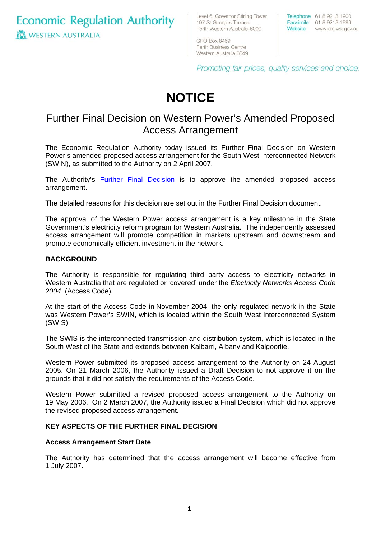**Economic Regulation Authority ICI WESTERN AUSTRALIA** 

Level 6, Governor Stirling Tower 197 St Georges Terrace Perth Western Australia 6000

Telephone 61 8 9213 1900 Facsimile 61 8 9213 1999 Website www.era.wa.gov.au

**GPO Box 8469** Perth Business Centre Western Australia 6849

Promoting fair prices, quality services and choice.

# **NOTICE**

# Further Final Decision on Western Power's Amended Proposed Access Arrangement

The Economic Regulation Authority today issued its Further Final Decision on Western Power's amended proposed access arrangement for the South West Interconnected Network (SWIN), as submitted to the Authority on 2 April 2007.

The Authority's [Further Final Decision](http://www.era.wa.gov.au/cproot/5558/24354/FFD%2024%20April%202007.pdf) is to approve the amended proposed access arrangement.

The detailed reasons for this decision are set out in the Further Final Decision document.

The approval of the Western Power access arrangement is a key milestone in the State Government's electricity reform program for Western Australia. The independently assessed access arrangement will promote competition in markets upstream and downstream and promote economically efficient investment in the network.

## **BACKGROUND**

The Authority is responsible for regulating third party access to electricity networks in Western Australia that are regulated or 'covered' under the *Electricity Networks Access Code 2004* (Access Code)*.*

At the start of the Access Code in November 2004, the only regulated network in the State was Western Power's SWIN, which is located within the South West Interconnected System (SWIS).

The SWIS is the interconnected transmission and distribution system, which is located in the South West of the State and extends between Kalbarri, Albany and Kalgoorlie.

Western Power submitted its proposed access arrangement to the Authority on 24 August 2005. On 21 March 2006, the Authority issued a Draft Decision to not approve it on the grounds that it did not satisfy the requirements of the Access Code.

Western Power submitted a revised proposed access arrangement to the Authority on 19 May 2006. On 2 March 2007, the Authority issued a Final Decision which did not approve the revised proposed access arrangement.

# **KEY ASPECTS OF THE FURTHER FINAL DECISION**

#### **Access Arrangement Start Date**

The Authority has determined that the access arrangement will become effective from 1 July 2007.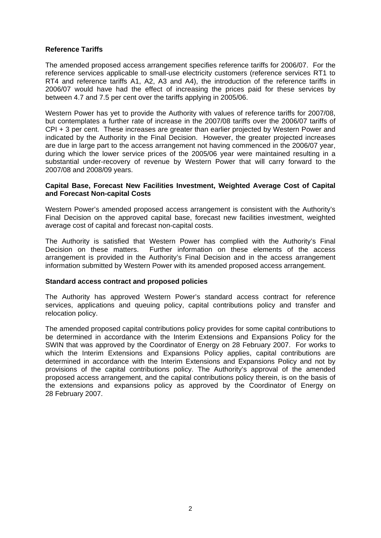# **Reference Tariffs**

The amended proposed access arrangement specifies reference tariffs for 2006/07. For the reference services applicable to small-use electricity customers (reference services RT1 to RT4 and reference tariffs A1, A2, A3 and A4), the introduction of the reference tariffs in 2006/07 would have had the effect of increasing the prices paid for these services by between 4.7 and 7.5 per cent over the tariffs applying in 2005/06.

Western Power has yet to provide the Authority with values of reference tariffs for 2007/08, but contemplates a further rate of increase in the 2007/08 tariffs over the 2006/07 tariffs of CPI + 3 per cent. These increases are greater than earlier projected by Western Power and indicated by the Authority in the Final Decision. However, the greater projected increases are due in large part to the access arrangement not having commenced in the 2006/07 year, during which the lower service prices of the 2005/06 year were maintained resulting in a substantial under-recovery of revenue by Western Power that will carry forward to the 2007/08 and 2008/09 years.

## **Capital Base, Forecast New Facilities Investment, Weighted Average Cost of Capital and Forecast Non-capital Costs**

Western Power's amended proposed access arrangement is consistent with the Authority's Final Decision on the approved capital base, forecast new facilities investment, weighted average cost of capital and forecast non-capital costs.

The Authority is satisfied that Western Power has complied with the Authority's Final Decision on these matters. Further information on these elements of the access arrangement is provided in the Authority's Final Decision and in the access arrangement information submitted by Western Power with its amended proposed access arrangement.

#### **Standard access contract and proposed policies**

The Authority has approved Western Power's standard access contract for reference services, applications and queuing policy, capital contributions policy and transfer and relocation policy.

The amended proposed capital contributions policy provides for some capital contributions to be determined in accordance with the Interim Extensions and Expansions Policy for the SWIN that was approved by the Coordinator of Energy on 28 February 2007. For works to which the Interim Extensions and Expansions Policy applies, capital contributions are determined in accordance with the Interim Extensions and Expansions Policy and not by provisions of the capital contributions policy. The Authority's approval of the amended proposed access arrangement, and the capital contributions policy therein, is on the basis of the extensions and expansions policy as approved by the Coordinator of Energy on 28 February 2007.